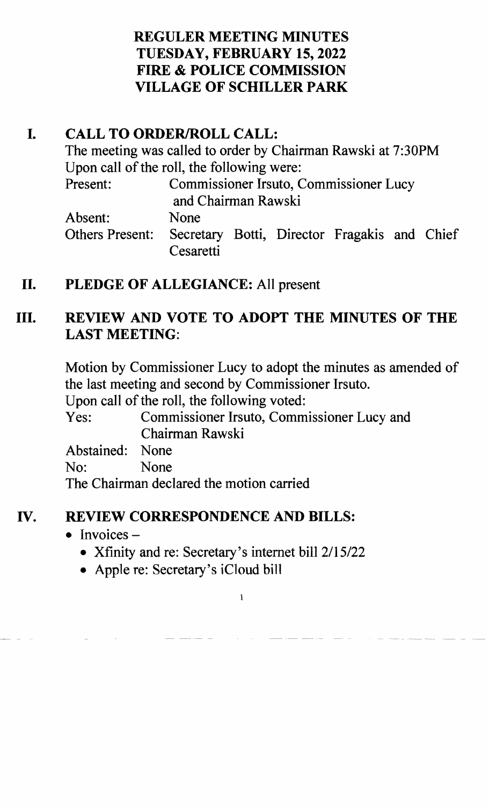### REGULER MEETING MINUTES TUESDAY, FEBRUARY 15,2022 FIRE & POLICE COMMISSION VILLAGE OF SCHILLER PARK

## I. CALL TO ORDER/ROLL CALL:

The meeting was called to order by Chairman Rawski at 7:30PM Upon call of the roll, the following were: Present: Commissioner Irsuto, Commissioner Lucy and Chairman Rawski Absent: None

Others Present: Secretary Botti, Director Fragakis and Chief Cesaretti

# II. PLEDGE OF ALLEGIANCE: All present

# III. REVIEW AND VOTE TO ADOPT THE MINUTES OF THE LAST MEETING:

Motion by Commissioner Lucy to adopt the minutes as amended of the last meeting and second by Commissioner Irsuto.

Upon call of the roll, the following voted:

Yes: Commissioner Irsuto, Commissioner Lucy and Chairman Rawski

Abstained: None

No: None

The Chairman declared the motion carried

## IV. REVIEW CORRESPONDENCE AND BILLS:

### • Invoices  $-$

• Xfinity and re: Secretary's internet bill 2/15/22

1

• Apple re: Secretary's iCloud bill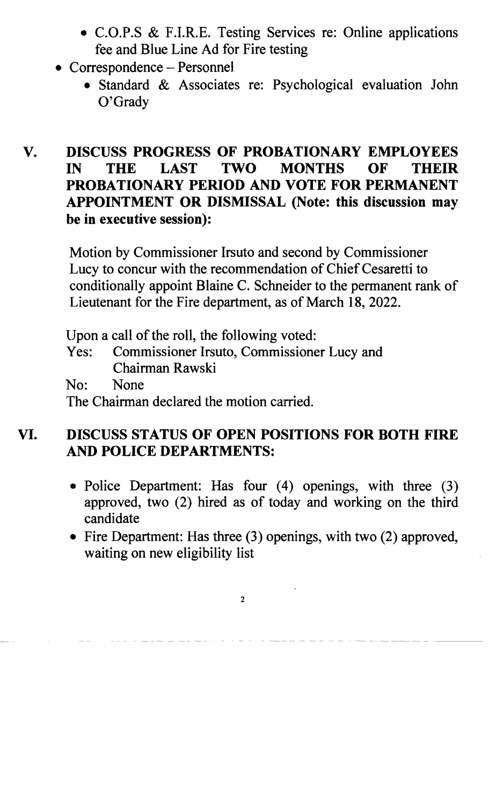- C.O.P.S & F.I.R.E. Testing Services re: Online applications fee and Blue Line Ad for Fire testing
- Correspondence Personnel
	- Standard & Associates re: Psychological evaluation John O'Grady

#### V. DISCUSS PROGRESS OF PROBATIONARY EMPLOYEES IN THE LAST TWO MONTHS OF THEIR PROBATIONARY PERIOD AND VOTE FOR PERMANENT APPOINTMENT OR DISMISSAL (Note: this discussion may be in executive session):

Motion by Commissioner Irsuto and second by Commissioner Lucy to concur with the recommendation of Chief Cesaretti to conditionally appoint Blaine C. Schneider to the permanent rank of Lieutenant for the Fire department, as of March 18, 2022.

Upon a call of the roll, the following voted: Yes: Commissioner Irsuto, Commissioner Lucy and Chairman Rawski No: None The Chairman declared the motion carried.

#### VI. DISCUSS STATUS OF OPEN POSITIONS FOR BOTH FIRE AND POLICE DEPARTMENTS:

- Police Department: Has four (4) openings, with three (3) approved, two (2) hired as of today and working on the third candidate
- Fire Department: Has three  $(3)$  openings, with two  $(2)$  approved, waiting on new eligibility list

2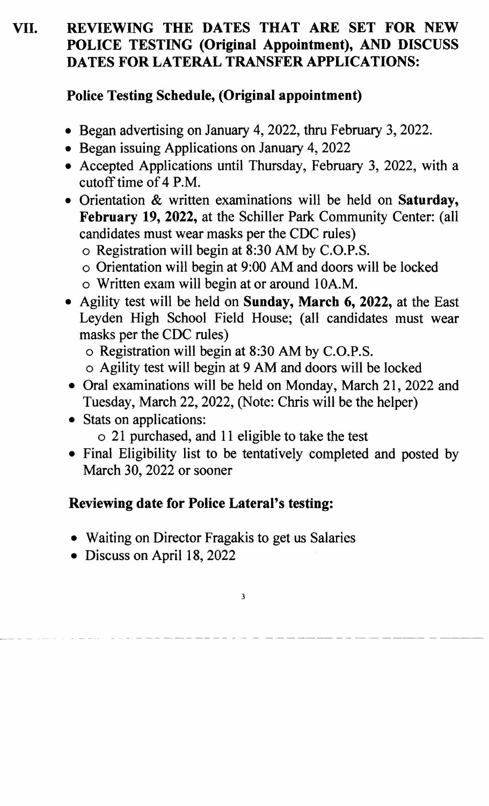# **VII. REVIEWING THE DATES THAT ARE SET FOR NEW POLICE TESTING (Original Appointment), AND DISCUSS DATES FOR LATERAL TRANSFER APPLICATIONS:**

### **Police Testing Schedule, (Original appointment)**

- Began advertising on January 4, 2022, thru February 3, 2022.
- Began issuing Applications on January 4, 2022
- Accepted Applications until Thursday, February 3, 2022, with a cutoff time of 4 P.M.
- Orientation & written examinations will be held on **Saturday, February 19, 2022,** at the Schiller Park Community Center: (all candidates must wear masks per the CDC rules)
	- o Registration will begin at 8:30 AM by C.O.P.S.
	- o Orientation will begin at 9:00 AM and doors will be locked
	- o Written exam will begin at or around 10A.M.
- Agility test will be held on **Sunday, March 6, 2022**, at the East Leyden High School Field House; (all candidates must wear masks per the CDC rules)
	- o Registration will begin at 8:30 AM by C.O.P.S.
	- o Agility test will begin at 9 AM and doors will be locked
- Oral examinations will be held on Monday, March 21, 2022 and Tuesday, March 22,2022, (Note: Chris will be the helper)
- Stats on applications:
	- o 21 purchased, and 11 eligible to take the test
- Final Eligibility list to be tentatively completed and posted by March 30, 2022 or sooner

# **Reviewing date for Police Lateral's testing:**

- Waiting on Director Fragakis to get us Salaries
- Discuss on April 18, 2022

3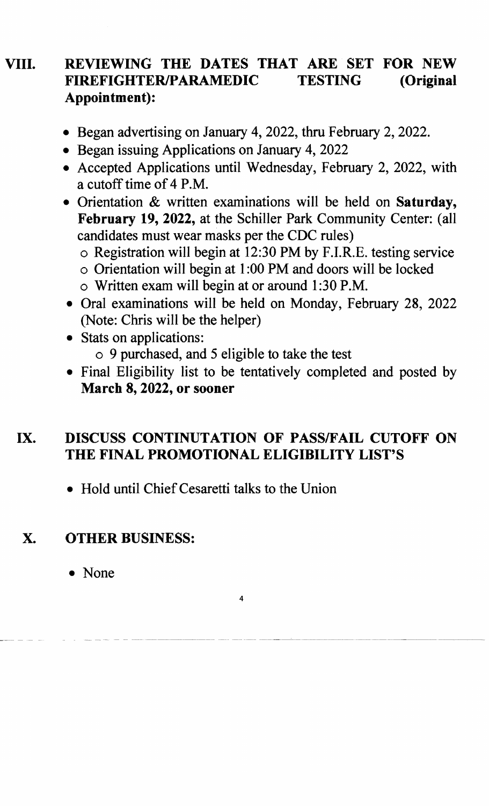### VIII. REVIEWING THE DATES THAT ARE SET FOR NEW FIREFIGHTERIPARAMEDIC TESTING (Original Appointment):

- Began advertising on January 4, 2022, thru February 2, 2022.
- Began issuing Applications on January 4, 2022
- Accepted Applications until Wednesday, February 2, 2022, with a cutoff time of 4 P.M.
- Orientation & written examinations will be held on Saturday, February 19, 2022, at the Schiller Park Community Center: (all candidates must wear masks per the CDC rules)
	- o Registration will begin at 12:30 PM by F.I.R.E. testing service
	- o Orientation will begin at 1 :00 PM and doors will be locked
	- o Written exam will begin at or around 1 :30 P.M.
- Oral examinations will be held on Monday, February 28, 2022 (Note: Chris will be the helper)

### • Stats on applications:

- o 9 purchased, and 5 eligible to take the test
- Final Eligibility list to be tentatively completed and posted by March 8, 2022, or sooner

### IX. DISCUSS CONTINUTATION OF PASS/FAIL CUTOFF ON THE FINAL PROMOTIONAL ELIGIBILITY LIST'S

4

• Hold until Chief Cesaretti talks to the Union

## X. OTHER BUSINESS:

• None